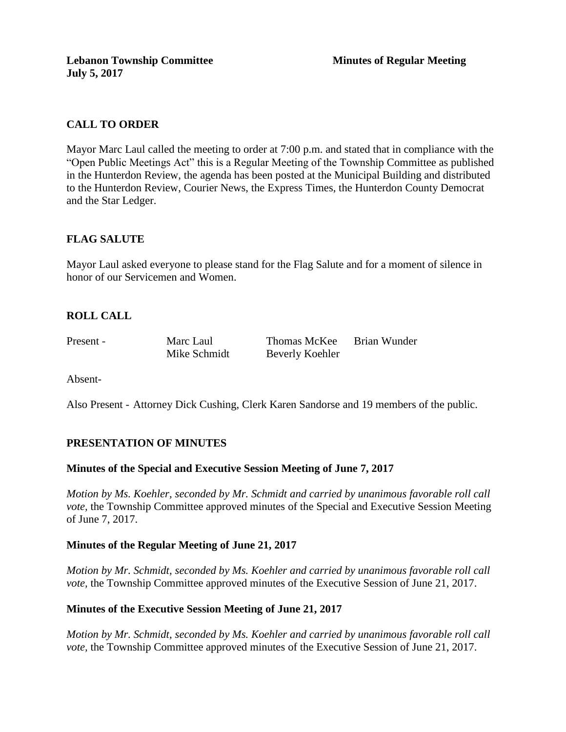# **CALL TO ORDER**

Mayor Marc Laul called the meeting to order at 7:00 p.m. and stated that in compliance with the "Open Public Meetings Act" this is a Regular Meeting of the Township Committee as published in the Hunterdon Review, the agenda has been posted at the Municipal Building and distributed to the Hunterdon Review, Courier News, the Express Times, the Hunterdon County Democrat and the Star Ledger.

# **FLAG SALUTE**

Mayor Laul asked everyone to please stand for the Flag Salute and for a moment of silence in honor of our Servicemen and Women.

# **ROLL CALL**

Present - Marc Laul Thomas McKee Brian Wunder Mike Schmidt Beverly Koehler

Absent-

Also Present - Attorney Dick Cushing, Clerk Karen Sandorse and 19 members of the public.

# **PRESENTATION OF MINUTES**

## **Minutes of the Special and Executive Session Meeting of June 7, 2017**

*Motion by Ms. Koehler, seconded by Mr. Schmidt and carried by unanimous favorable roll call vote,* the Township Committee approved minutes of the Special and Executive Session Meeting of June 7, 2017.

## **Minutes of the Regular Meeting of June 21, 2017**

*Motion by Mr. Schmidt, seconded by Ms. Koehler and carried by unanimous favorable roll call vote,* the Township Committee approved minutes of the Executive Session of June 21, 2017.

## **Minutes of the Executive Session Meeting of June 21, 2017**

*Motion by Mr. Schmidt, seconded by Ms. Koehler and carried by unanimous favorable roll call vote*, the Township Committee approved minutes of the Executive Session of June 21, 2017.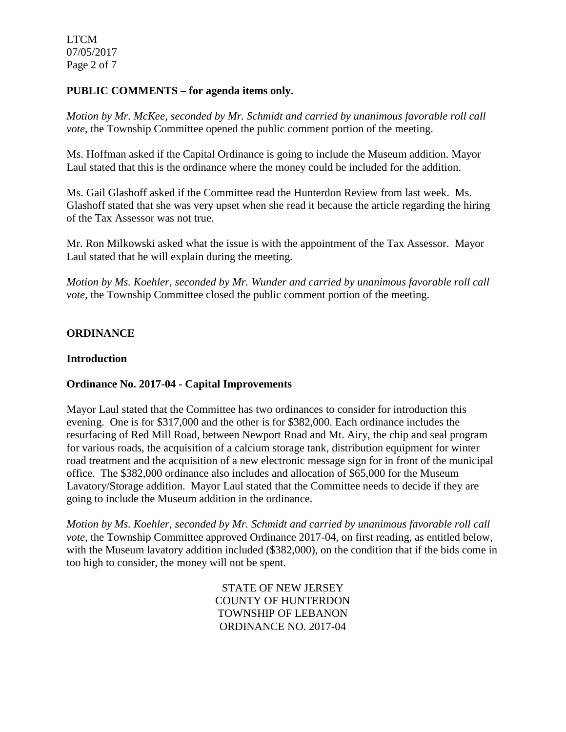LTCM 07/05/2017 Page 2 of 7

## **PUBLIC COMMENTS – for agenda items only.**

*Motion by Mr. McKee, seconded by Mr. Schmidt and carried by unanimous favorable roll call vote*, the Township Committee opened the public comment portion of the meeting.

Ms. Hoffman asked if the Capital Ordinance is going to include the Museum addition. Mayor Laul stated that this is the ordinance where the money could be included for the addition.

Ms. Gail Glashoff asked if the Committee read the Hunterdon Review from last week. Ms. Glashoff stated that she was very upset when she read it because the article regarding the hiring of the Tax Assessor was not true.

Mr. Ron Milkowski asked what the issue is with the appointment of the Tax Assessor. Mayor Laul stated that he will explain during the meeting.

*Motion by Ms. Koehler, seconded by Mr. Wunder and carried by unanimous favorable roll call vote*, the Township Committee closed the public comment portion of the meeting.

## **ORDINANCE**

#### **Introduction**

## **Ordinance No. 2017-04 - Capital Improvements**

Mayor Laul stated that the Committee has two ordinances to consider for introduction this evening. One is for \$317,000 and the other is for \$382,000. Each ordinance includes the resurfacing of Red Mill Road, between Newport Road and Mt. Airy, the chip and seal program for various roads, the acquisition of a calcium storage tank, distribution equipment for winter road treatment and the acquisition of a new electronic message sign for in front of the municipal office. The \$382,000 ordinance also includes and allocation of \$65,000 for the Museum Lavatory/Storage addition. Mayor Laul stated that the Committee needs to decide if they are going to include the Museum addition in the ordinance.

*Motion by Ms. Koehler, seconded by Mr. Schmidt and carried by unanimous favorable roll call vote*, the Township Committee approved Ordinance 2017-04, on first reading, as entitled below, with the Museum lavatory addition included (\$382,000), on the condition that if the bids come in too high to consider, the money will not be spent.

> STATE OF NEW JERSEY COUNTY OF HUNTERDON TOWNSHIP OF LEBANON ORDINANCE NO. 2017-04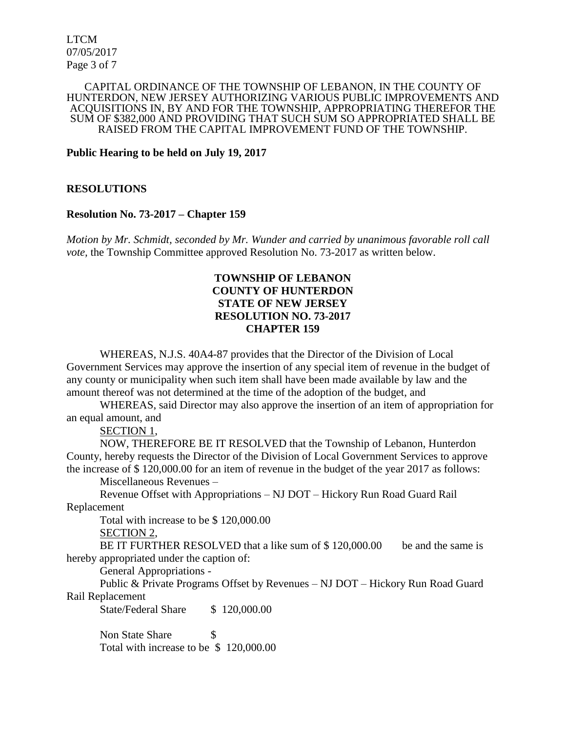LTCM 07/05/2017 Page 3 of 7

#### CAPITAL ORDINANCE OF THE TOWNSHIP OF LEBANON, IN THE COUNTY OF HUNTERDON, NEW JERSEY AUTHORIZING VARIOUS PUBLIC IMPROVEMENTS AND ACQUISITIONS IN, BY AND FOR THE TOWNSHIP, APPROPRIATING THEREFOR THE SUM OF \$382,000 AND PROVIDING THAT SUCH SUM SO APPROPRIATED SHALL BE RAISED FROM THE CAPITAL IMPROVEMENT FUND OF THE TOWNSHIP.

**Public Hearing to be held on July 19, 2017**

#### **RESOLUTIONS**

#### **Resolution No. 73-2017 – Chapter 159**

*Motion by Mr. Schmidt, seconded by Mr. Wunder and carried by unanimous favorable roll call vote*, the Township Committee approved Resolution No. 73-2017 as written below.

# **TOWNSHIP OF LEBANON COUNTY OF HUNTERDON STATE OF NEW JERSEY RESOLUTION NO. 73-2017 CHAPTER 159**

WHEREAS, N.J.S. 40A4-87 provides that the Director of the Division of Local Government Services may approve the insertion of any special item of revenue in the budget of any county or municipality when such item shall have been made available by law and the amount thereof was not determined at the time of the adoption of the budget, and

WHEREAS, said Director may also approve the insertion of an item of appropriation for an equal amount, and

SECTION 1,

NOW, THEREFORE BE IT RESOLVED that the Township of Lebanon, Hunterdon County, hereby requests the Director of the Division of Local Government Services to approve the increase of \$ 120,000.00 for an item of revenue in the budget of the year 2017 as follows:

Miscellaneous Revenues –

Revenue Offset with Appropriations – NJ DOT – Hickory Run Road Guard Rail Replacement

Total with increase to be \$ 120,000.00

SECTION 2,

BE IT FURTHER RESOLVED that a like sum of \$120,000.00 be and the same is hereby appropriated under the caption of:

General Appropriations -

Public & Private Programs Offset by Revenues – NJ DOT – Hickory Run Road Guard Rail Replacement

State/Federal Share \$ 120,000.00

Non State Share \$ Total with increase to be \$ 120,000.00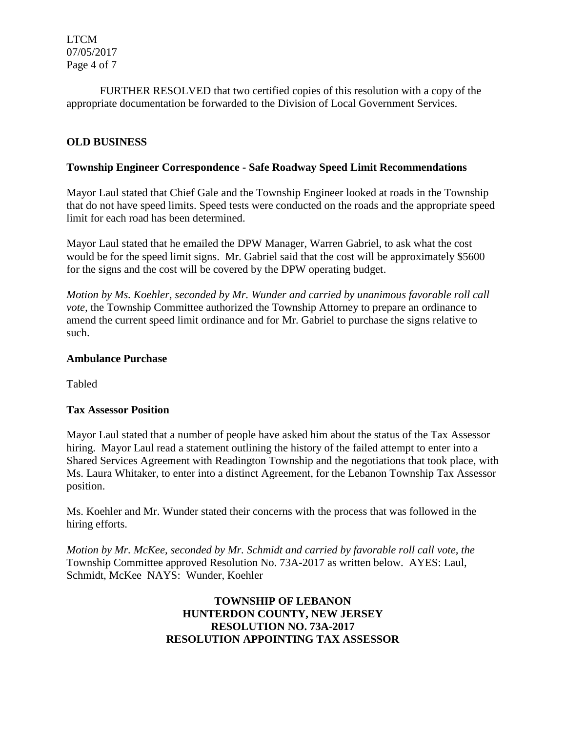LTCM 07/05/2017 Page 4 of 7

FURTHER RESOLVED that two certified copies of this resolution with a copy of the appropriate documentation be forwarded to the Division of Local Government Services.

# **OLD BUSINESS**

# **Township Engineer Correspondence - Safe Roadway Speed Limit Recommendations**

Mayor Laul stated that Chief Gale and the Township Engineer looked at roads in the Township that do not have speed limits. Speed tests were conducted on the roads and the appropriate speed limit for each road has been determined.

Mayor Laul stated that he emailed the DPW Manager, Warren Gabriel, to ask what the cost would be for the speed limit signs. Mr. Gabriel said that the cost will be approximately \$5600 for the signs and the cost will be covered by the DPW operating budget.

*Motion by Ms. Koehler, seconded by Mr. Wunder and carried by unanimous favorable roll call vote*, the Township Committee authorized the Township Attorney to prepare an ordinance to amend the current speed limit ordinance and for Mr. Gabriel to purchase the signs relative to such.

# **Ambulance Purchase**

Tabled

## **Tax Assessor Position**

Mayor Laul stated that a number of people have asked him about the status of the Tax Assessor hiring. Mayor Laul read a statement outlining the history of the failed attempt to enter into a Shared Services Agreement with Readington Township and the negotiations that took place, with Ms. Laura Whitaker, to enter into a distinct Agreement, for the Lebanon Township Tax Assessor position.

Ms. Koehler and Mr. Wunder stated their concerns with the process that was followed in the hiring efforts.

*Motion by Mr. McKee, seconded by Mr. Schmidt and carried by favorable roll call vote, the* Township Committee approved Resolution No. 73A-2017 as written below. AYES: Laul, Schmidt, McKee NAYS: Wunder, Koehler

# **TOWNSHIP OF LEBANON HUNTERDON COUNTY, NEW JERSEY RESOLUTION NO. 73A-2017 RESOLUTION APPOINTING TAX ASSESSOR**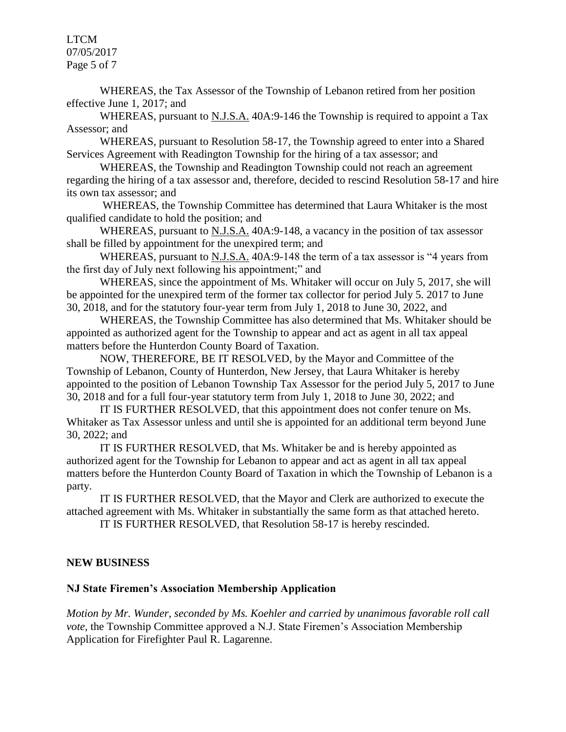LTCM 07/05/2017 Page 5 of 7

WHEREAS, the Tax Assessor of the Township of Lebanon retired from her position effective June 1, 2017; and

WHEREAS, pursuant to N.J.S.A. 40A:9-146 the Township is required to appoint a Tax Assessor; and

WHEREAS, pursuant to Resolution 58-17, the Township agreed to enter into a Shared Services Agreement with Readington Township for the hiring of a tax assessor; and

WHEREAS, the Township and Readington Township could not reach an agreement regarding the hiring of a tax assessor and, therefore, decided to rescind Resolution 58-17 and hire its own tax assessor; and

WHEREAS, the Township Committee has determined that Laura Whitaker is the most qualified candidate to hold the position; and

WHEREAS, pursuant to N.J.S.A. 40A:9-148, a vacancy in the position of tax assessor shall be filled by appointment for the unexpired term; and

WHEREAS, pursuant to N.J.S.A. 40A:9-148 the term of a tax assessor is "4 years from the first day of July next following his appointment;" and

WHEREAS, since the appointment of Ms. Whitaker will occur on July 5, 2017, she will be appointed for the unexpired term of the former tax collector for period July 5. 2017 to June 30, 2018, and for the statutory four-year term from July 1, 2018 to June 30, 2022, and

WHEREAS, the Township Committee has also determined that Ms. Whitaker should be appointed as authorized agent for the Township to appear and act as agent in all tax appeal matters before the Hunterdon County Board of Taxation.

NOW, THEREFORE, BE IT RESOLVED, by the Mayor and Committee of the Township of Lebanon, County of Hunterdon, New Jersey, that Laura Whitaker is hereby appointed to the position of Lebanon Township Tax Assessor for the period July 5, 2017 to June 30, 2018 and for a full four-year statutory term from July 1, 2018 to June 30, 2022; and

IT IS FURTHER RESOLVED, that this appointment does not confer tenure on Ms. Whitaker as Tax Assessor unless and until she is appointed for an additional term beyond June 30, 2022; and

IT IS FURTHER RESOLVED, that Ms. Whitaker be and is hereby appointed as authorized agent for the Township for Lebanon to appear and act as agent in all tax appeal matters before the Hunterdon County Board of Taxation in which the Township of Lebanon is a party.

IT IS FURTHER RESOLVED, that the Mayor and Clerk are authorized to execute the attached agreement with Ms. Whitaker in substantially the same form as that attached hereto.

IT IS FURTHER RESOLVED, that Resolution 58-17 is hereby rescinded.

## **NEW BUSINESS**

## **NJ State Firemen's Association Membership Application**

*Motion by Mr. Wunder, seconded by Ms. Koehler and carried by unanimous favorable roll call vote*, the Township Committee approved a N.J. State Firemen's Association Membership Application for Firefighter Paul R. Lagarenne.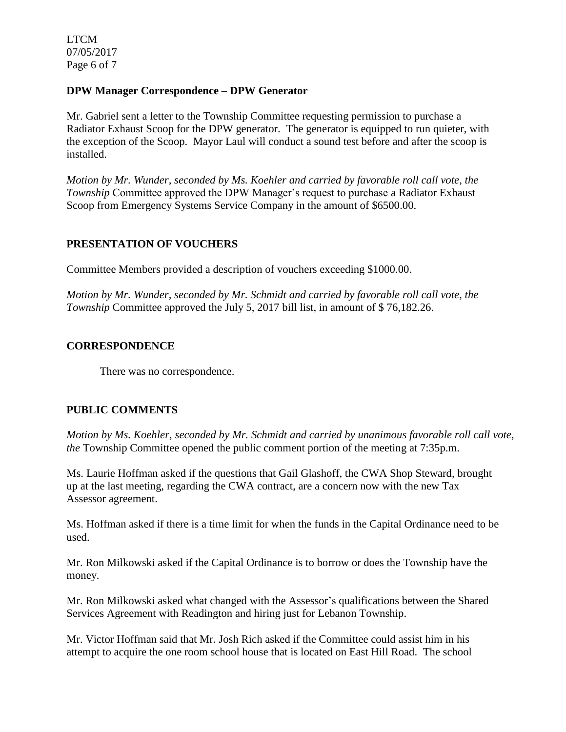LTCM 07/05/2017 Page 6 of 7

# **DPW Manager Correspondence – DPW Generator**

Mr. Gabriel sent a letter to the Township Committee requesting permission to purchase a Radiator Exhaust Scoop for the DPW generator. The generator is equipped to run quieter, with the exception of the Scoop. Mayor Laul will conduct a sound test before and after the scoop is installed.

*Motion by Mr. Wunder, seconded by Ms. Koehler and carried by favorable roll call vote, the Township* Committee approved the DPW Manager's request to purchase a Radiator Exhaust Scoop from Emergency Systems Service Company in the amount of \$6500.00.

# **PRESENTATION OF VOUCHERS**

Committee Members provided a description of vouchers exceeding \$1000.00.

*Motion by Mr. Wunder, seconded by Mr. Schmidt and carried by favorable roll call vote, the Township* Committee approved the July 5, 2017 bill list, in amount of \$76,182.26.

## **CORRESPONDENCE**

There was no correspondence.

## **PUBLIC COMMENTS**

*Motion by Ms. Koehler, seconded by Mr. Schmidt and carried by unanimous favorable roll call vote, the* Township Committee opened the public comment portion of the meeting at 7:35p.m.

Ms. Laurie Hoffman asked if the questions that Gail Glashoff, the CWA Shop Steward, brought up at the last meeting, regarding the CWA contract, are a concern now with the new Tax Assessor agreement.

Ms. Hoffman asked if there is a time limit for when the funds in the Capital Ordinance need to be used.

Mr. Ron Milkowski asked if the Capital Ordinance is to borrow or does the Township have the money.

Mr. Ron Milkowski asked what changed with the Assessor's qualifications between the Shared Services Agreement with Readington and hiring just for Lebanon Township.

Mr. Victor Hoffman said that Mr. Josh Rich asked if the Committee could assist him in his attempt to acquire the one room school house that is located on East Hill Road. The school